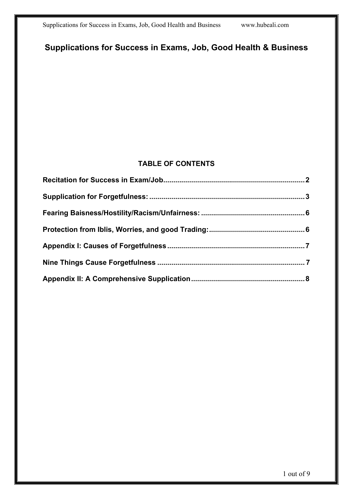## **Supplications for Success in Exams, Job, Good Health & Business**

#### **TABLE OF CONTENTS**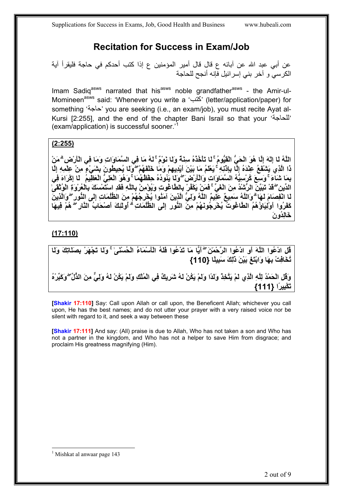# **Recitation for Success in Exam/Job**

<span id="page-1-0"></span>عن أبي عبد الله عن آبائه ع قال قال أمير المؤمنين ع إذا كتب أحدكم في حاجة فليقرأ آية الكرسي و آخر بني إسرائيل فإنه أنجح للحاجة

Imam Sadiq<sup>asws</sup> narrated that his<sup>asws</sup> noble grandfather<sup>asws</sup> - the Amir-ul-Momineen<sup>asws</sup> said: 'Whenever you write a 'الحَتب' (letter/application/paper) for something 'حاجة 'you are seeking (i.e., an exam/job), you must recite Ayat al-Kursi [2:255], and the end of the chapter Bani Israil so that your 'للحاجة ' (exam/application) is successful sooner.'

#### **(2:255)**

اللَّهُ لَا إِلَّهَ إِلَّا هُوَ الْحَيُّ الْقَيُّومُ ۚ لَا تَأْخُذُهُ سِنْهٌ وَلَا نَوْمٌ ۚ لَهُ مَا فِي السَّمَاوَاتِ وَمَا فِي الْأَرْضِ ۗ مَنْ ذَا الَّذِي يَشْفَعُ عِنْدَهُ إِلَّا بِإِدْنِهِ ۚ يَعْلَمُ مَا بَيْنَ أَيْدِيهِمْ وَمَا خَلْقَهُمْ ۖ وَلَا يُحِيطُونَ بِشَيْءٍ مِنْ عِلْمِهِ إِلَّا بِمَا شَنَّاءَ ۚ وَسَعَ كُرْسِيُّهُ الْسَمَاوَاتِ وَالْأَرْضَ ۖ وَلَا يَٰتُوۡدُهُ حِفْظُهُمَا ۚ وَهُوَ الْعَلِّيُّ الْعَظِّيمُ ۚ لَا اِكْرَاهَ فِى الدِّين ۖ قدْ تَبَيَّنّ الرُّشْدُ مِنَ الْغَيِّ ۚ فَمَنْ يَكْفُرْ بِالطَّاعْوتِ وَيُوْمِنْ بِاللَّهِ فَقدِ استَّمْسَكَ بِالْعُرْوَةِ الْوُتْقَىٰ لَـا انْفَصِـَامَ لَـهَا ۖ وَاللَّهُ سَمَبِيعٌ عَلِّيمٌ اللَّهُ وَلِيَّ الَّذِينَ آمَنُوا يُخْرِجُهُمْ مِنَ الظُّلُمَاتِ إلَى النُّورِ ۖ وَالَّذِينَ **آَفَرُوا أَوْلِيَاؤُهُمُ الطَّاغُوتُ يُخْرِجُونَهُمْ مِنَ النُّورِ إِلَى الظُّلُمَاتِۗ أُولَٰئِكَ أَصْحَابُ النَّارِۖ هُمْ فِيهَا خَالِدُونَ** 

#### **(17:110)**

قُلِ ادْعُوا اللَّهَ أَوِ ادْعُوا الرَّحْمَٰنَ ۖ أَيًّا مَا تَدْعُوا فَلَهُ الْأَسْمَاءُ الْحُسْنَىٰ ۚ وَلَا تَجْهَرْ بِصَلَاتِكَ وَلَا **تُخَافِتْ بِهَا وَابْتَغِ بَيْنَ ذَٰلِكَ { سَبِيلًا 110}** وَقَلِ الْحَمْدُ لِلَّهِ الَّذِي لَمْ يَتَّخِذْ وَلَدًا وَلَمْ يَكُنْ لَهُ شَرِيكٌ فِي الْمُلْكِ وَلَمْ يَكُنْ لَهُ وَلِيٍّ مِنَ الذُّلِّ ۖ وَكَبِّرْهُ **تَكْبِيرًا {111}** 

**[Shakir 17:110]** Say: Call upon Allah or call upon, the Beneficent Allah; whichever you call upon, He has the best names; and do not utter your prayer with a very raised voice nor be silent with regard to it, and seek a way between these

**[Shakir 17:111]** And say: (All) praise is due to Allah, Who has not taken a son and Who has not a partner in the kingdom, and Who has not a helper to save Him from disgrace; and proclaim His greatness magnifying (Him).

<span id="page-1-1"></span> $\overline{a}$ 1 Mishkat al anwaar page 143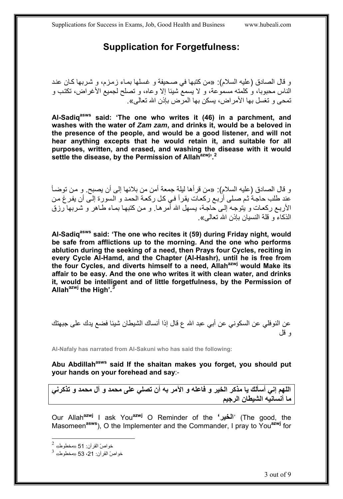### **Supplication for Forgetfulness:**

<span id="page-2-0"></span>و قال الصادق (عليه السلام): «من كتبها في صحيفة و غسلها بمـاء زمزم، و شربها كـان عند الناس محبوبا، و كلمته مسموعة، و لا يسمع شيئا إلا وعاه، و تصلح لجميع الأغراض، تكتب و تمحى و تغسل بها الأمراض، يسكن بها المرض بإذن االله تعالى .»

**Al-Sadiqasws said: 'The one who writes it (46) in a parchment, and washes with the water of** *Zam zam***, and drinks it, would be a beloved in the presence of the people, and would be a good listener, and will not hear anything excepts that he would retain it, and suitable for all purposes, written, and erased, and washing the disease with it would**  settle the disease, by the Permission of Allah<sup>azwj, [2](#page-2-1)</sup>

و قال الصادق (عليه السلام): «من قرأها ليلة جمعة أمن من بلائها إلى أن يصبح. و من توضـأ عند طلب حاجة ثم صلى أربع ركعات يقرأ في كل ركعة الحمد و السورة إلى أن يفرغ من الأربع ركعات و يتوجه إلى حاجة، يسهل الله أمرها. و من كتبها بمـاء طـاهر و شربها رزق الذكاء و قلة النسيان بإذن الله تعالى».

**Al-Sadiqasws said: 'The one who recites it (59) during Friday night, would be safe from afflictions up to the morning. And the one who performs ablution during the seeking of a need, then Prays four Cycles, reciting in every Cycle Al-Hamd, and the Chapter (Al-Hashr), until he is free from**  the four Cycles, and diverts himself to a need, Allah<sup>azwj</sup> would Make its **affair to be easy. And the one who writes it with clean water, and drinks it, would be intelligent and of little forgetfulness, by the Permission of Allahazwj the High'.[3](#page-2-2)**

عن النوفلي عن السكوني عن أبي عبد االله ع قال إذا أنساك الشيطان شيئا فضع يدك على جبهتك و قل

**Al-Nafaly has narrated from Al-Sakuni who has said the following:** 

Abu Abdillah<sup>asws</sup> said If the shaitan makes you forget, you should put **your hands on your forehead and say**:-

**اللهم إني أسألك يا مذآر الخير و فاعله و الآمر به أن تصلي على محمد و آل محمد و تذآرني ما أنسانيه الشيطان الرجيم**

Our Allah**azwj** I ask You**azwj** O Reminder of the **'الخير**) 'The good, the Masomeen**asws**), O the Implementer and the Commander, I pray to You**azwj** for

 $\overline{a}$ 

<span id="page-2-1"></span> $^2$  خواصّ القرآن: 51 «مخطوط»

<span id="page-2-2"></span> $^3$  خواصّ القرآن: 21، 53 «مخطوط»  $^3$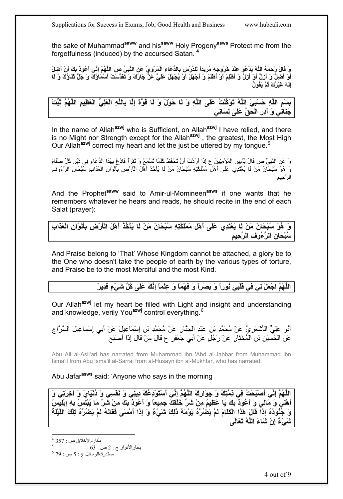the sake of Muhammad**saww** and his**saww** Holy Progeny**asws** Protect me from the forgetfulness (induced) by the accursed Satan. **[4](#page-3-0)**

وَ قَالَ رَحِمَهُ اللَّهُ يَدْعُو عِنْدَ خُرُوجِهِ مُرِيداً لِلدِّرْسِ بِالدِّعَاءِ الْمَرْوِيِّ عَن النَّبِيّ ص اللَّهُمّ إنِّي أَعُودُ بكَ أَنْ أَصْلِ أَوْ أَصْلَّ وَ أَرْلَ أَوْ أَرْلَ وَ أَطْلِمَ أَوْ أَظْلَمَ وَ أَجْهَلَ أَوْ يُجْهَلَ عَلَيَّ عَزّ جَارُكَ وَ تَقَدَّسَتْ أَسْمَاوُكَ وَ جَلَّ تَنْاوُكَ وَ لَـا **إِلَهَ غَيْرُكَ ثُمَّ يَقُولُ**

بِسْمِ اللَّهِ حَسْبِيَ اللَّهُ تَوَكَّلْتُ عَلَى اللَّهِ وَ لَـا حَوْلَ وَ لَـا قُوَّةَ إِلَّـا بِاللَّهِ الْعَظِيمِ اللَّهُمَّ تُبِّتْ **جَنَانِي وَ أَدِرِ الْحَقَّ عَلَى لِسَانِي**

In the name of Allah**azwj** who is Sufficient, on Allah**azwj** I have relied, and there is no Might nor Strength except for the Allah**azwj** , the greatest, the Most High Our Allah**azwj** correct my heart and let the just be uttered by my tongue.[5](#page-3-1)

وَ عَنِ النَّبِيِّ ص قَالَ لِأَمِيرِ الْمُؤْمِنِينَ ع إِذَا أَرَدْتَ أَنْ تَحْفَظَ آُلَّمَا تَسْمَعُ وَ تَقْرَأُ فَادْعُ بِهَذَا الدُّعَاءِ فِي دُبُرِ آُلِّ صَلَاةٍ وَ هُوَ سُبْحَانَ مَنْ لَا يَعْتَدِي عَلَى أَهْلِ مَمْلَكَتِهِ سُبْحَانَ مَنْ لَا يَأْخُذُ أَهْلَ الْأَرْضِ بِأَلْوَانِ الْعَذَابِ سُبْحَانَ الرَّءُوفِ الرَّحِيمِ

And the Prophet**saww** said to Amir-ul-Momineen**asws** if one wants that he remembers whatever he hears and reads, he should recite in the end of each Salat (prayer):

وَ هُوَ سُبْحَانَ مَنْ لَا يَعْتَدِي عَلَى أَهْلِ مَمْلَكَتِهِ سُبْحَانَ مَنْ لَا يَأْخُذُ أَهْلَ الْأَرْض بألْوَان الْعَذَابِ **سُبْحَانَ الرَّءُوفِ الرَّحِيمِ**

And Praise belong to 'That' Whose Kingdom cannot be attached, a glory be to the One who doesn't take the people of earth by the various types of torture, and Praise be to the most Merciful and the most Kind.

#### اللَّهُمَّ اجْعَلْ لِي فِي قَلْبِي نُوراً وَ بَصَراً وَ فَهْماً وَ عِلْماً إِنَّكَ عَلَى كُلِّ شَيْءٍ قدِيرٌ ۖ

Our Allah**azwj** let my heart be filled with Light and insight and understanding and knowledge, verily You**azwj** control everything.[6](#page-3-2)

أَبُو عَلِيٍّ الْأَشْعَرِيُّ عَنْ مُحَمَّدِ بْنِ عَبْدِ الْجَبَّارِ عَنْ مُحَمَّدِ بْنِ إِسْمَاعِيلَ عَنْ أَبِي إِسْمَاعِيلَ السَّرَّاجِ عَنِ الْحُسَيْنِ بْنِ الْمُخْتَارِ عَنْ رَجُلٍ عَنْ أَبِي جَعْفَرٍ ع قَالَ مَنْ قَالَ إِذَا أَصْبَحَ

Abu Ali al-Asli'ari has narrated from Muharnrnad ibn 'Abd al-Jabbar from Muhammad ibn Isma'il from Abu lsma'il al-Sarraj from al-Husayn ibn al-Mukhtar, who has narrated:

Abu Jafar**asws** said: 'Anyone who says in the morning

اللَّهُمَّ إِنِّي أَصْبَحْتُ فِي ذِمَّتِكَ وَ جوارِكَ اللَّهُمَّ إِنِّي أَسْتَوَدْعُكَ دِينِي وَ نَفْسِي وَ دُنْيَايَ وَ آخِرَتِي وَ أَهْلِيُ وَ مَالِي وَ أَعُوذُ بِكَ يَا عَظِيمُ مِنْ شَرِّ خَلْقِكَ جَمِيعاً وَ أَعُوذُ بِكَ مِنْ شَرِّ مَا يُبْلِسُ بِهِ إبْلِيسُ وَ جُنُودُهُ إِذَاً قَالَ هَذَا الْكَلَامَ لَمْ يَضُرَّهُ يَوْمَهُ ذَلِكَ شَىْءٌ وَ إِذَا أَمْسَى فَقَالَهُ لَمْ يَضُرَّهُ تِلْكَ اللَّيْلَة **شَيْءٌ إِنْ شَاءَ اللَّهُ تَعَالَى**

<span id="page-3-2"></span><span id="page-3-1"></span><span id="page-3-0"></span>6 بحارالأنوار <sup>ج</sup> : 2 <sup>ص</sup> : 63 مستدركالوسائل ج : 5 ص : 79

 $\overline{a}$ مكارمالأخلاق ص : 357 <sup>4</sup><br>- 63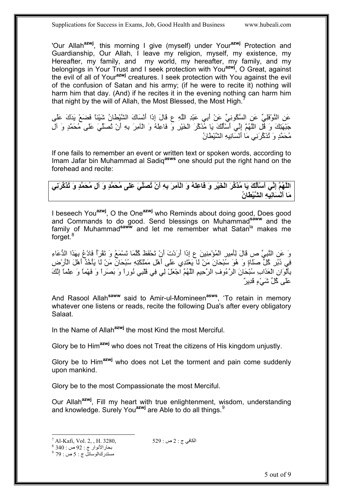'Our Allah**azwj**, this morning I give (myself) under Your**azwj** Protection and Guardianship, Our Allah, I leave my religion, myself, my existence, my Hereafter, my family, and my world, my hereafter, my family, and my belongings in Your Trust and I seek protection with You**azwj**, O Great, against the evil of all of Your**azwj** creatures. I seek protection with You against the evil of the confusion of Satan and his army; (if he were to recite it) nothing will harm him that day. (And) if he recites it in the evening nothing can harm him that night by the will of Allah, the Most Blessed, the Most High.<sup>[7](#page-4-0)</sup>

عَنِ النَّوْفَلِيِّ عَنِ السَّكُونِيِّ عَنْ أَبِي عَبْدِ اللَّهِ ع قَالَ إِذَا أَنْسَاكَ الشَّيْطَانُ شَيْئاً فَضَعْ يَدَكَ عَلَى جَبْهَتِكَ وَ قُلِ اللَّهُمَّ إِنِّي أَسْأَلُكَ يَا مُذَآِّرَ الْخَيْرِ وَ فَاعِلَهُ وَ الْآمِرَ بِهِ أَنْ تُصَلِّيَ عَلَى مُحَمَّدٍ وَ آلِ مُحَمَّدٍ وَ تُذَآِّرَنِي مَا أَنْسَانِيهِ الشَّيْطَانُ

If one fails to remember an event or written text or spoken words, according to Imam Jafar bin Muhammad al Sadiq**asws** one should put the right hand on the forehead and recite:

اللَّهُمَّ إِنِّي أَسْأَلُكَ يَا مُذَكِّرَ الْخَيْرِ وَ فَاعِلَهُ وَ الْآمِرَ بِهِ أَنْ تُصَلِّيَ عَلَى مُحَمَّدٍ وَ آل مُحَمَّدٍ وَ تُذَكِّرَنِي **مَا أَنْسَانِيهِ الشَّيْطَانُ**

I beseech You**azwj**, O the One**azwj** who Reminds about doing good, Does good and Commands to do good. Send blessings on Muhammad**saww** and the family of Muhammad<sup>saww</sup> and let me remember what Satan<sup>la</sup> makes me forget.<sup>[8](#page-4-1)</sup>

وَ عَنِ النَّبِيِّ ص قَالَ لِأَمِيرِ الْمُؤْمِنِينَ ع إِذَا أَرَدْتَ أَنْ تَحْفَظَ آُلَّمَا تَسْمَعُ وَ تَقْرَأُ فَادْعُ بِهَذَا الدُّعَاءِ فِي دُبُرِ آُلِّ صَلَاةٍ وَ هُوَ سُبْحَانَ مَنْ لَا يَعْتَدِي عَلَى أَهْلِ مَمْلَكَتِهِ سُبْحَانَ مَنْ لَا يَأْخُذُ أَهْلَ الْأَرْضِ بِأَلْوَانِ الْعَذَابِ سُبْحَانَ الرَّءُوفِ الرَّحِيمِ اللَّهُمَّ اجْعَلْ لِي فِي قَلْبِي نُوراً وَ بَصَراً وَ فَهْماً وَ عِلْماً إِنَّكَ ُ عَلَى كُلِّ شَيْءٍ قَدِيرٌ ِ

And Rasool Allah**saww** said to Amir-ul-Momineen**asws**, 'To retain in memory whatever one listens or reads, recite the following Dua's after every obligatory Salaat.

In the Name of Allah**azwj** the most Kind the most Merciful.

Glory be to Him**azwj** who does not Treat the citizens of His kingdom unjustly.

Glory be to Him**azwj** who does not Let the torment and pain come suddenly upon mankind.

Glory be to the most Compassionate the most Merciful.

Our Allah**azwj**, Fill my heart with true enlightenment, wisdom, understanding and knowledge. Surely You**azwj** are Able to do all things.[9](#page-4-2)

<span id="page-4-2"></span><span id="page-4-1"></span>مستدركالوسائل ج : 5 ص : 79

<span id="page-4-0"></span><sup>&</sup>lt;sup>-</sup>  $^7$  Al-Kafi, Vol. 2, , H. 3280,  $^8$  340 : 2 ص : 329  $^8$  340  $^8$  340  $^8$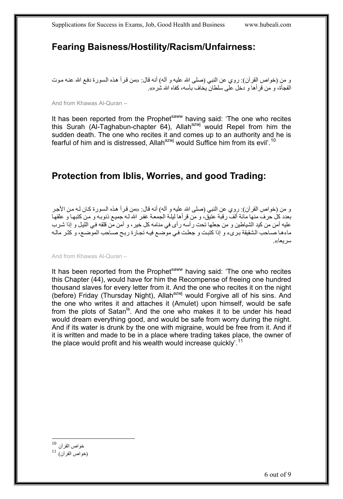### <span id="page-5-1"></span><span id="page-5-0"></span>**Fearing Baisness/Hostility/Racism/Unfairness:**

و من (خواص القرآن): روي عن النبي (صلى الله عليه و آله) أنه قال: «من قرأ هذه السورة دفع الله عنـه مـوت الفجأة، و من قرأها و دخل على سلطان يخاف بأسه، كفاه الله شره».

And from Khawas Al-Quran –

It has been reported from the Prophet<sup>saww</sup> having said: 'The one who recites this Surah (Al-Taghabun-chapter 64), Allah<sup>azwj</sup> would Repel from him the sudden death. The one who recites it and comes up to an authority and he is fearful of him and is distressed, Allah $a^{2}$ <sup>yj</sup> would Suffice him from its evil<sup>' [10](#page-5-1)</sup>

### **Protection from Iblis, Worries, and good Trading:**

و من (خواص القرآن): روي عن النبي (صلى الله عليه و آله) أنه قال: «من قرأ هذه السورة كـان لـه من الأجر بعدد كل حرف منها مائة ألف رقبة عتيق، و من قرأها ليلـة الجمعة غفر الله لـه جميـع ذنوبـه و من كتبهـا و علقهـا عليه أمن من كيد الشياطين و من جعلها تحت رأسه رأى في منامه كل خير ، و أمن من قلقه في الليل و إذا شرب ماءها صـاحب الشقيقة برىء و إذا كتبت و جعلت في موّضع فيـه تجـارة ربـح صـاحب الموضـع، و كثـر مالـه سر يعا».

And from Khawas Al-Quran –

It has been reported from the Prophet<sup>saww</sup> having said: 'The one who recites this Chapter (44), would have for him the Recompense of freeing one hundred thousand slaves for every letter from it. And the one who recites it on the night (before) Friday (Thursday Night), Allah<sup>azwj</sup> would Forgive all of his sins. And the one who writes it and attaches it (Amulet) upon himself, would be safe from the plots of Satan<sup>la</sup>. And the one who makes it to be under his head would dream everything good, and would be safe from worry during the night. And if its water is drunk by the one with migraine, would be free from it. And if it is written and made to be in a place where trading takes place, the owner of the place would profit and his wealth would increase quickly'.<sup>[11](#page-5-1)</sup>

 $\overline{a}$ 

خواص القرآن <sup>10</sup>

 $^{11}$  (خواص القرآن)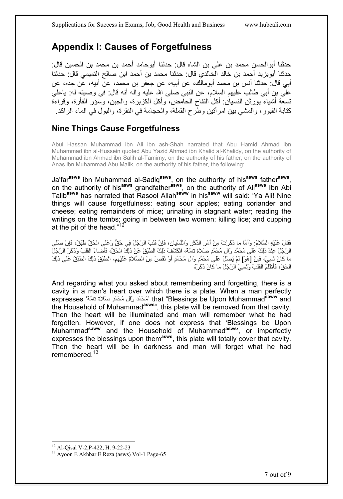## <span id="page-6-1"></span><span id="page-6-0"></span>**Appendix I: Causes of Forgetfulness**

حدثنا أبوالحسن محمد بن علي بن الشاه قال: حدثنا أبوحامد أحمد بن محمد بن الحسين قال: حدثنا أبويزيد أحمد بن خالد الخالدي قال: حدثنا محمد بن أحمد ابن صالح التميمي قال: حدثنا أبي قال: حدثنا أنس بن محمد أبومالك، عن أبيه، عن جعفر بن محمد، عن أبيه، عن جده، عن علي بن أبي طالب عليهم السلام، عن النبي صلى االله عليه وآله أنه قال: في وصيته له: ياعلي تسعّة أشياء يورثن النسيان: أكل التفاح الحامض، وأكل الكزبرة، والجبن، وسؤر الفأرة، وقراءة كتابة القبور ، والمشي بين امر أتين وطرح القملة، والحجامة في النقر ة، والبول في الماء الراكد.

#### **Nine Things Cause Forgetfulness**

Abul Hassan Muhammad ibn Ali ibn ash-Shah narrated that Abu Hamid Ahmad ibn Muhammad ibn al-Hussein quoted Abu Yazid Ahmad ibn Khalid al-Khalidy, on the authority of Muhammad ibn Ahmad ibn Salih al-Tamimy, on the authority of his father, on the authority of Anas ibn Muhammad Abu Malik, on the authority of his father, the following:

Ja'far**asws** ibn Muhammad al-Sadiq**asws**, on the authority of his**asws** father**asws**, on the authority of his**asws** grandfather**asws**, on the authority of Ali**asws** Ibn Abi Talib**asws** has narrated that Rasool Allah**saww** in his**saww** will said: 'Ya Ali! Nine things will cause forgetfulness: eating sour apples; eating coriander and cheese; eating remainders of mice; urinating in stagnant water; reading the writings on the tombs; going in between two women; killing lice; and cupping at the pit of the head." $1$ 

فَقالَ عَلَيْهِ السَّلام:ُ وَأمَّا ما ذَآَرْتَ مِنْ أَمْرِ الذِّآْرِ وَالنِّسْيان،ِ فَإِنَّ قَلْبَ الرَّجُلَ فِي حُقٍّ وَعَلَى الحُقِّ طَبَق،ٌ فَإِنْ صَلَّى الرَّجُلُ عِنْدَ ذلِكَ عَلَى مُحَمَّد وَآلِ مُحَمَّدٍ صَلاة تامَّة، انْكَشَفَ ذلِكَ الطَّبَقُ عَنْ ذلِكَ الحَقِّ، فَأَضاءَ القَلْبُ وَذَكَرَ الرَّجُلُ ما كانَ نَسِيَ، فَإِنْ [هُوَ] لَمْ يُصلِّ عَلَى مُحَمَّدٍ وَآلِ مُحَمَّدٍ أَوْ نَقَصَ مِنَ الصَّلاةِ عَلَيْهِم، انْطَبَقَ ذلِكَ الطَّبَقُ عَلَى ذلِكَ الحَقِّ، فَأَظْلَمَ القَلْبَ وَنَسِيَ الرَّجُلُ ما كانَ ذَكَرَهُ

And regarding what you asked about remembering and forgetting, there is a cavity in a man's heart over which there is a plate. When a man perfectly and Muhammad**saww** Upon be Blessings "that' مُحَمَّد وَآلِ مُحَمَّدٍ صَلاة تامَّةً' expresses the Household of Muhammad**asws**", this plate will be removed from that cavity. Then the heart will be illuminated and man will remember what he had forgotten. However, if one does not express that 'Blessings be Upon Muhammad**saww** and the Household of Muhammad**asws**', or imperfectly expresses the blessings upon them**asws**, this plate will totally cover that cavity. Then the heart will be in darkness and man will forget what he had remembered.<sup>[13](#page-6-1)</sup>

 $\overline{a}$ <sup>12</sup> Al-Qisal V-2, P-422, H. 9-22-23

<sup>&</sup>lt;sup>13</sup> Ayoon E Akhbar E Reza (asws) Vol-1 Page-65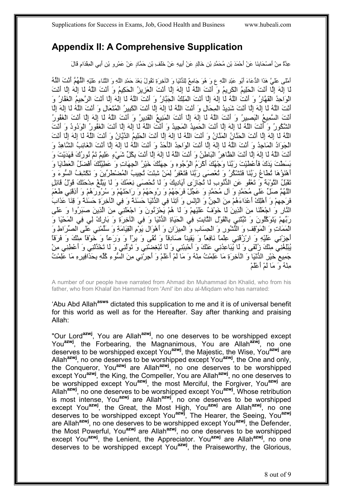### <span id="page-7-0"></span>**Appendix II: A Comprehensive Supplication**

عِدَّةٌ مِنْ أَصْحَابِنَا عَنْ أَحْمَدَ بْنِ مُحَمَّدِ بْنِ خَالِدٍ عَنْ أَبِيهِ عَنْ خَلَفِ بْنِ حَمَّادٍ عَنْ عَمْرِو بْنِ أَبِي الْمِقْدَامِ قَالَ

أَمْلَى عَلَيَّ هَذَا الدُّعَاءَ أَبُو عَبْدِ اللَّهِ ع وَ هُوَ جَامِعٌ لِلدُّنْيَا وَ الْآخِرَةِ تَقُولُ بَعْدَ حَمْدِ اللَّهِ وَ الثَّنَاءِ عَلَيْهِ اللَّهُمَّ أَنْتَ اللَّهُ لَا إِلَهَ إِلَّا أَنْتَ الْحَلِيمُ الْكَرِيمُ وَ أَنْتَ اللَّهُ لَا إِلَهَ إِلَّا أَنْتَ الْعَزِيزُ الْحَكِيمُ وَ أَنْتَ اللَّهُ لَا إِلَهَ إِلَّا أَنْتَ الْوَاحِدُ الْقَهَّارُ وَ أَنْتَ اللَّهُ لَا إِلَهَ إِلَّا أَنْتَ الْمَلِكُ الْجَبَّارُ وَ أَنْتَ اللَّهُ لَا إِلَهَ إِلَّا أَنْتَ الرَّحِيمُ الْغَفَّارُ وَ أَنْتَ اللَّهُ لَا إِلَهَ إِلَّا أَنْتَ شَدِيدُ الْمِحَالِ وَ أَنْتَ اللَّهُ لَا إِلَهَ إِلَّا أَنْتَ الْكَبِيرُ الْمُتَعَالِ وَ أَنْتَ اللَّهُ لَا إِلَهَ إِلَّا أَنْتَ السَّمِيعُ الْبَصِيرُ وَ أَنْتَ اللَّهُ لَا إِلَهَ إِلَّا أَنْتَ الْمَنِيعُ الْقَدِيرُ وَ أَنْتَ اللَّهُ لَا إِلَهَ إِلَّا أَنْتَ الْغَفُورُ الشَّكُورُ وَ أَنْتَ اللَّهُ لَا إِلَهَ إِلَّا أَنْتَ الْحَمِيدُ الْمَجِيدُ وَ أَنْتَ اللَّهُ لَا إِلَهَ إِلَّا أَنْتَ الْغَفُورُ الْوَدُودُ وَ أَنْتَ اللَّهُ لَا إِلَهَ إِلَّا أَنْتَ الْحَنَّانُ الْمَنَّانُ وَ أَنْتَ اللَّهُ لَا إِلَهَ إِلَّا أَنْتَ الْحَلِيمُ الدَّيَّانُ وَ أَنْتَ اللَّهُ لَا إِلَهَ إِلَّا أَنْتَ الْجَوَادُ الْمَاجِدُ وَ أَنْتَ اللَّهُ لَا إِلَهَ إِلَّا أَنْتَ الْوَاحِدُ الْأَحَدُ وَ أَنْتَ اللَّهُ لَا إِلَهَ إِلَّا أَنْتَ الْغَائِبُ الشَّاهِدُ وَ أَنْتَ اللَّهُ لَا إِلَهَ إِلَّا أَنْتَ الظَّاهِرُ الْبَاطِنُ وَ أَنْتَ اللَّهُ لَا إِلَهَ إِلَّا أَنْتَ بِكُلِّ شَيْءٍ عَلِيمٌ تَمَّ نُورُكَ فَهَدَيْتَ وَ بَسَطْتَ يَدَكَ فَأَعْطَيْتَ رَبَّنَا وَجْهُكَ أَآْرَمُ الْوُجُوهِ وَ جِهَتُكَ خَيْرُ الْجِهَاتِ وَ عَطِيَّتُكَ أَفْضَلُ الْعَطَايَا وَ أَهْنَؤُهَا تُطَاعُ رَبَّنَا فَتَشْكُرُ وَ تُعْصَى رَبَّنَا فَتَغْفِرُ لِمَنْ شِئْتَ تُجِيبُ الْمُضْطَرِّينَ وَ تَكْشِفُ السُّوءَ وَ تَقْبَلُ التَّوْبَةَ وَ تَعْفُو عَنِ الذُّنُوبِ لَا تُجَازَى أَيَادِيكَ وَ لَا تُحْصَى نِعَمُكَ وَ لَا يَبْلُغُ مِدْحَتَكَ قَوْلُ قَائِلٍ اللَّهُمَّ صَلِّ عَلَى مُحَمَّدٍ وَ آلِ مُحَمَّدٍ وَ عَجِّلْ فَرَجَهُمْ وَ رُوحَهُمْ وَ رَاحَتَهُمْ وَ سُرُورَهُمْ وَ أَذِقْنِي طَعْمَ فَرَجِهِمْ وَ أَهْلِكْ أَعْدَاءَهُمْ مِنَ الْجِنِّ وَ الْإِنْسِ وَ آتِنَا فِي الدُّنْيَا حَسَنَةً وَ فِي الْآخِرَةِ حَسَنَةً وَ قِنَا عَذَابَ النَّارِ وَ اجْعَلْنَا مِنَ الَّذِينَ لَا خَوْفٌ عَلَيْهِمْ وَ لَا هُمْ يَحْزَنُونَ وَ اجْعَلْنِي مِنَ الَّذِينَ صَبَرُوا وَ عَلَى رَبِّهِمْ يَتَوَآَّلُونَ وَ ثَبِّتْنِي بِالْقَوْلِ الثَّابِتِ فِي الْحَيَاةِ الدُّنْيَا وَ فِي الْآخِرَةِ وَ بَارِكْ لِي فِي الْمَحْيَا وَ الْمَمَاتِ وَ الْمَوْقِفِ وَ النُّشُورِ وَ الْحِسَابِ وَ الْمِيزَانِ وَ أَهْوَالِ يَوْمِ الْقِيَامَةِ وَ سَلِّمْنِي عَلَى الصِّرَاطِ وَ أَجِزْنِي عَلَيْهِ وَ ارْزُقْنِي عِلْماً نَافِعاً وَ يَقِيناً صَادِقاً وَ تُقًى وَ بِرّاً وَ وَرَعاً وَ خَوْفاً مِنْكَ وَ فَرَقاً يُبْلِغُنِي مِنْكَ زُلْفَى وَ لَا يُبَاعِدُنِي عَنْكَ وَ أَحْبِبْنِي وَ لَا تُبْغِضْنِي وَ تَوَلَّنِي وَ لَا تَخْذُلْنِي وَ أَعْطِنِي مِنْ جَمِيعِ خَيْرِ الدُّنْيَا وَ الْآخِرَةِ مَا عَلِمْتُ مِنْهُ وَ مَا لَمْ أَعْلَمْ وَ أَجِرْنِي مِنَ السُّوءِ آُلِّهِ بِحَذَافِيرِهِ مَا عَلِمْتُ مِنْهُ وَ مَا لَمْ أَعْلَمْ

A number of our people have narrated from Ahmad ibn Muhammad ibn Khalid, who from his father, who from Khalaf ibn Hammad from 'AmI' ibn abu al-Miqdam who has narrated:

'Abu Abd Allah**asws** dictated this supplication to me and it is of universal benefit for this world as well as for the Hereafter. Say after thanking and praising Allah:

"Our Lord**azwj**, You are Allah**azwj**, no one deserves to be worshipped except You**azwj**, the Forbearing, the Magnanimous, You are Allah**azwj**, no one deserves to be worshipped except You**azwj**, the Majestic, the Wise, You**azwj** are Allah**azwj**, no one deserves to be worshipped except You**azwj**, the One and only, the Conqueror, You**azwj** are Allah**azwj**, no one deserves to be worshipped except You**azwj**, the King, the Compeller, You are Allah**azwj**, no one deserves to be worshipped except You**azwj**, the most Merciful, the Forgiver, You**azwj** are Allah**azwj**, no one deserves to be worshipped except You**azwj**, Whose retribution is most intense, You<sup>azwj</sup> are Allah<sup>azwj</sup>, no one deserves to be worshipped except You<sup>azwj</sup>, the Great, the Most High, You<sup>azwj</sup> are Allah<sup>azwj</sup>, no one deserves to be worshipped except You**azwj**, The Hearer, the Seeing, You**azwj** are Allah**azwj**, no one deserves to be worshipped except You**azwj**, the Defender, the Most Powerful, You**azwj** are Allah**azwj**, no one deserves to be worshipped except You<sup>azwj</sup>, the Lenient, the Appreciator. You<sup>azwj</sup> are Allah<sup>azwj</sup>, no one deserves to be worshipped except You**azwj**, the Praiseworthy, the Glorious,